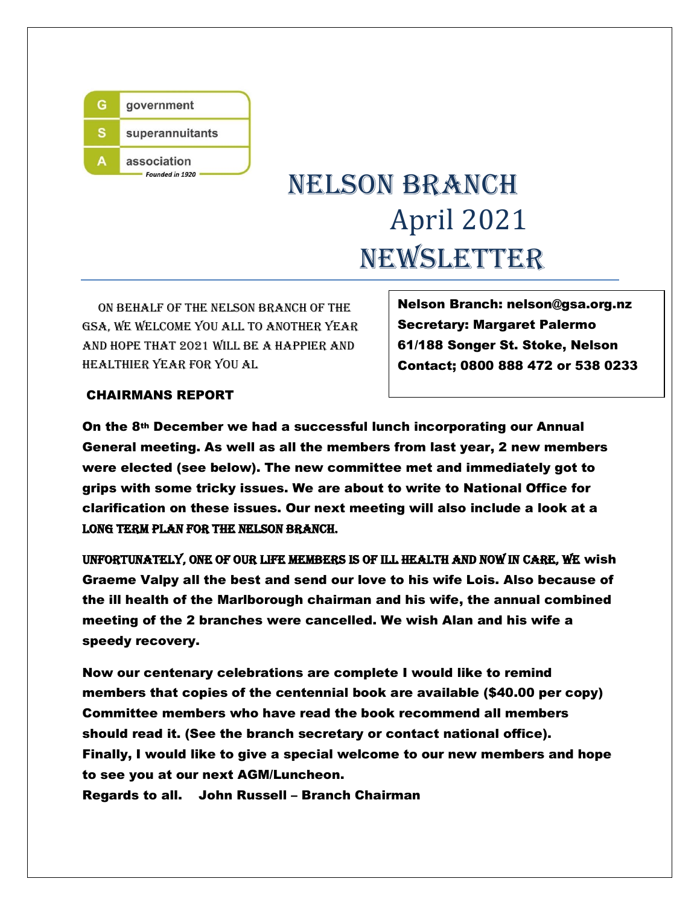

# NELSON BRANCH April 2021 NEWSLETTER

 On behalf of the nelson branch of the gsa, we welcome you all to another year and hope that 2021 will be a happier and healthier year for you al

Nelson Branch: nelson@gsa.org.nz Secretary: Margaret Palermo 61/188 Songer St. Stoke, Nelson Contact; 0800 888 472 or 538 0233

### CHAIRMANS REPORT

On the 8th December we had a successful lunch incorporating our Annual General meeting. As well as all the members from last year, 2 new members were elected (see below). The new committee met and immediately got to grips with some tricky issues. We are about to write to National Office for clarification on these issues. Our next meeting will also include a look at a long term plan for the Nelson branch.

Unfortunately, one of our life members is of ill health and now in care, we wish Graeme Valpy all the best and send our love to his wife Lois. Also because of the ill health of the Marlborough chairman and his wife, the annual combined meeting of the 2 branches were cancelled. We wish Alan and his wife a speedy recovery.

Now our centenary celebrations are complete I would like to remind members that copies of the centennial book are available (\$40.00 per copy) Committee members who have read the book recommend all members should read it. (See the branch secretary or contact national office). Finally, I would like to give a special welcome to our new members and hope to see you at our next AGM/Luncheon.

Regards to all. John Russell – Branch Chairman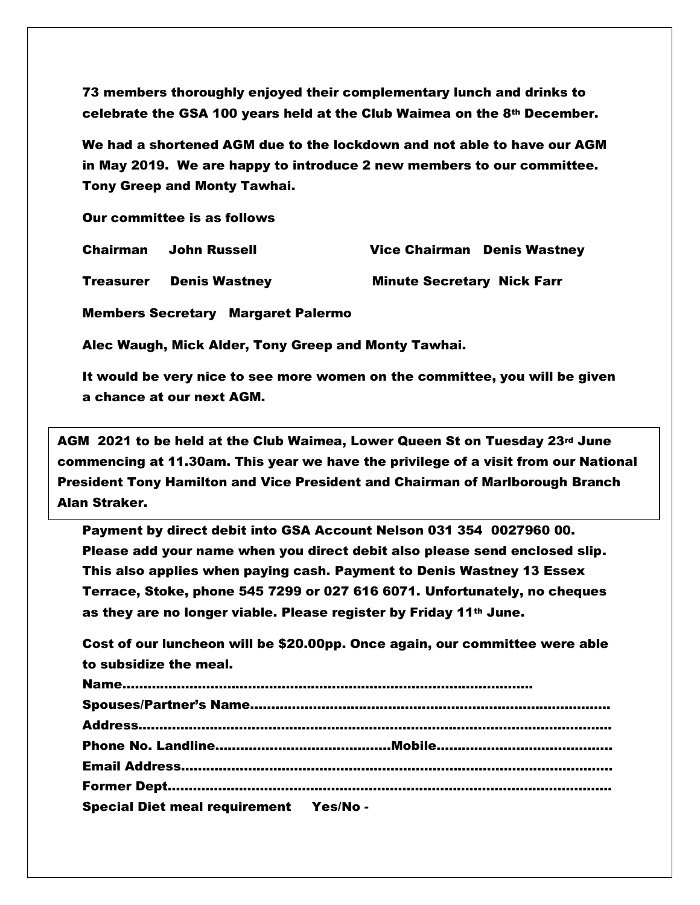73 members thoroughly enjoyed their complementary lunch and drinks to celebrate the GSA 100 years held at the Club Waimea on the 8th December.

We had a shortened AGM due to the lockdown and not able to have our AGM in May 2019. We are happy to introduce 2 new members to our committee. Tony Greep and Monty Tawhai.

Our committee is as follows

Chairman John Russell Vice Chairman Denis Wastney

Treasurer Denis Wastney Minute Secretary Nick Farr

Members Secretary Margaret Palermo

Alec Waugh, Mick Alder, Tony Greep and Monty Tawhai.

It would be very nice to see more women on the committee, you will be given a chance at our next AGM.

 commencing at 11.30am. This year we have the privilege of a visit from our National  $\blacksquare$ AGM 2021 to be held at the Club Waimea, Lower Queen St on Tuesday 23rd June President Tony Hamilton and Vice President and Chairman of Marlborough Branch Alan Straker.

Payment by direct debit into GSA Account Nelson 031 354 0027960 00. Please add your name when you direct debit also please send enclosed slip. This also applies when paying cash. Payment to Denis Wastney 13 Essex Terrace, Stoke, phone 545 7299 or 027 616 6071. Unfortunately, no cheques as they are no longer viable. Please register by Friday 11th June.

Cost of our luncheon will be \$20.00pp. Once again, our committee were able to subsidize the meal.

| <b>Special Diet meal requirement Yes/No-</b> |  |
|----------------------------------------------|--|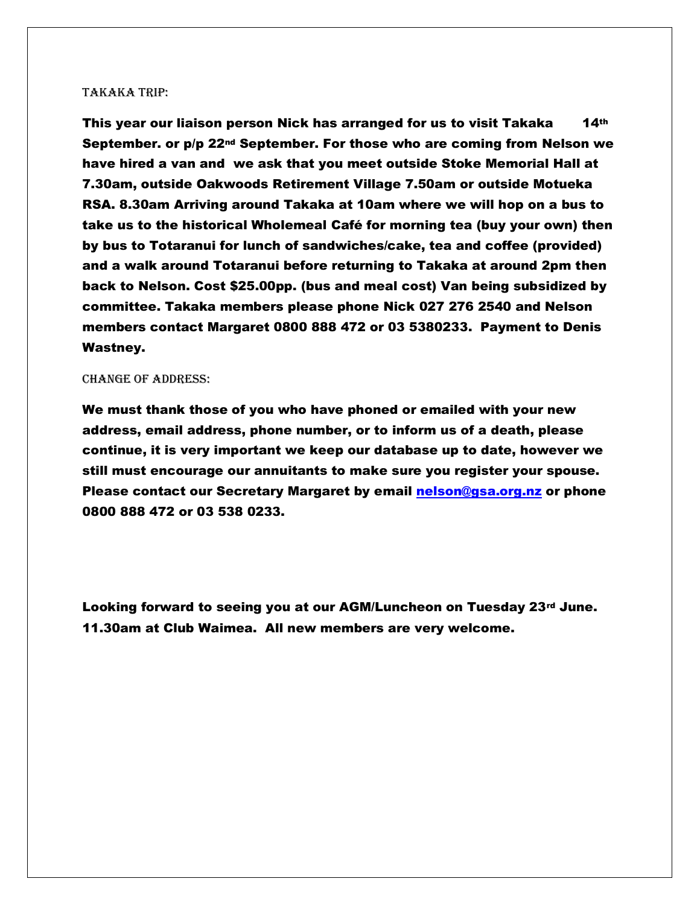#### Takaka trip:

This year our liaison person Nick has arranged for us to visit Takaka 14th September. or p/p 22nd September. For those who are coming from Nelson we have hired a van and we ask that you meet outside Stoke Memorial Hall at 7.30am, outside Oakwoods Retirement Village 7.50am or outside Motueka RSA. 8.30am Arriving around Takaka at 10am where we will hop on a bus to take us to the historical Wholemeal Café for morning tea (buy your own) then by bus to Totaranui for lunch of sandwiches/cake, tea and coffee (provided) and a walk around Totaranui before returning to Takaka at around 2pm then back to Nelson. Cost \$25.00pp. (bus and meal cost) Van being subsidized by committee. Takaka members please phone Nick 027 276 2540 and Nelson members contact Margaret 0800 888 472 or 03 5380233. Payment to Denis Wastney.

#### Change of address:

We must thank those of you who have phoned or emailed with your new address, email address, phone number, or to inform us of a death, please continue, it is very important we keep our database up to date, however we still must encourage our annuitants to make sure you register your spouse. Please contact our Secretary Margaret by email [nelson@gsa.org.nz](mailto:nelson@gsa.org.nz) or phone 0800 888 472 or 03 538 0233.

Looking forward to seeing you at our AGM/Luncheon on Tuesday 23 $rd$  June. 11.30am at Club Waimea. All new members are very welcome.